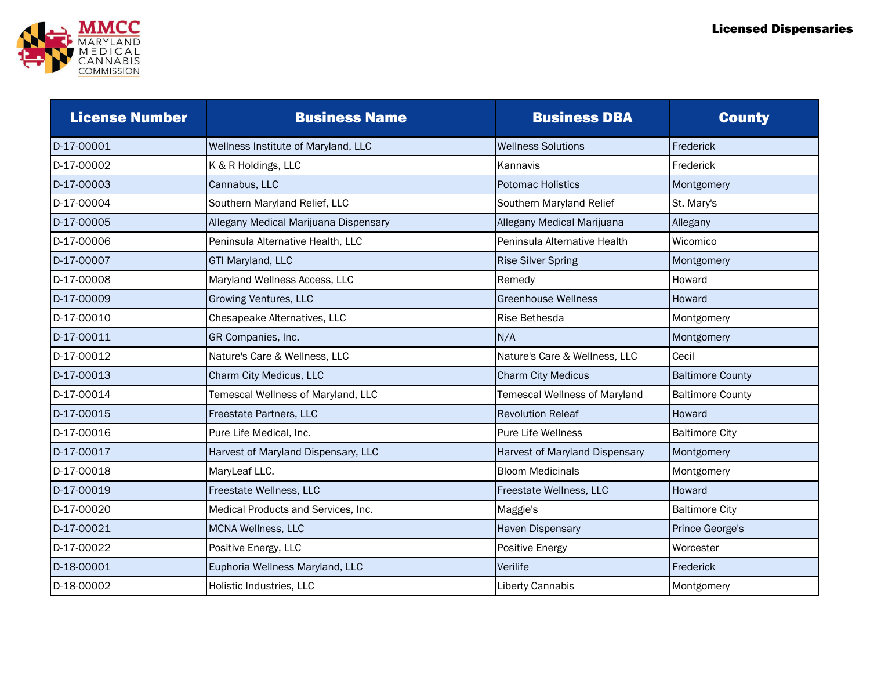

| <b>License Number</b> | <b>Business Name</b>                  | <b>Business DBA</b>            | <b>County</b>           |
|-----------------------|---------------------------------------|--------------------------------|-------------------------|
| D-17-00001            | Wellness Institute of Maryland, LLC   | <b>Wellness Solutions</b>      | Frederick               |
| D-17-00002            | K & R Holdings, LLC                   | Kannavis                       | Frederick               |
| D-17-00003            | Cannabus, LLC                         | <b>Potomac Holistics</b>       | Montgomery              |
| D-17-00004            | Southern Maryland Relief, LLC         | Southern Maryland Relief       | St. Mary's              |
| D-17-00005            | Allegany Medical Marijuana Dispensary | Allegany Medical Marijuana     | Allegany                |
| D-17-00006            | Peninsula Alternative Health, LLC     | Peninsula Alternative Health   | Wicomico                |
| D-17-00007            | GTI Maryland, LLC                     | <b>Rise Silver Spring</b>      | Montgomery              |
| D-17-00008            | Maryland Wellness Access, LLC         | Remedy                         | Howard                  |
| D-17-00009            | <b>Growing Ventures, LLC</b>          | <b>Greenhouse Wellness</b>     | Howard                  |
| D-17-00010            | Chesapeake Alternatives, LLC          | Rise Bethesda                  | Montgomery              |
| D-17-00011            | GR Companies, Inc.                    | N/A                            | Montgomery              |
| D-17-00012            | Nature's Care & Wellness, LLC         | Nature's Care & Wellness, LLC  | Cecil                   |
| D-17-00013            | Charm City Medicus, LLC               | <b>Charm City Medicus</b>      | <b>Baltimore County</b> |
| D-17-00014            | Temescal Wellness of Maryland, LLC    | Temescal Wellness of Maryland  | <b>Baltimore County</b> |
| D-17-00015            | Freestate Partners, LLC               | <b>Revolution Releaf</b>       | Howard                  |
| D-17-00016            | Pure Life Medical, Inc.               | <b>Pure Life Wellness</b>      | <b>Baltimore City</b>   |
| D-17-00017            | Harvest of Maryland Dispensary, LLC   | Harvest of Maryland Dispensary | Montgomery              |
| D-17-00018            | MaryLeaf LLC.                         | <b>Bloom Medicinals</b>        | Montgomery              |
| D-17-00019            | Freestate Wellness, LLC               | Freestate Wellness, LLC        | Howard                  |
| D-17-00020            | Medical Products and Services, Inc.   | Maggie's                       | <b>Baltimore City</b>   |
| D-17-00021            | MCNA Wellness, LLC                    | Haven Dispensary               | Prince George's         |
| D-17-00022            | Positive Energy, LLC                  | Positive Energy                | Worcester               |
| D-18-00001            | Euphoria Wellness Maryland, LLC       | Verilife                       | Frederick               |
| D-18-00002            | Holistic Industries, LLC              | Liberty Cannabis               | Montgomery              |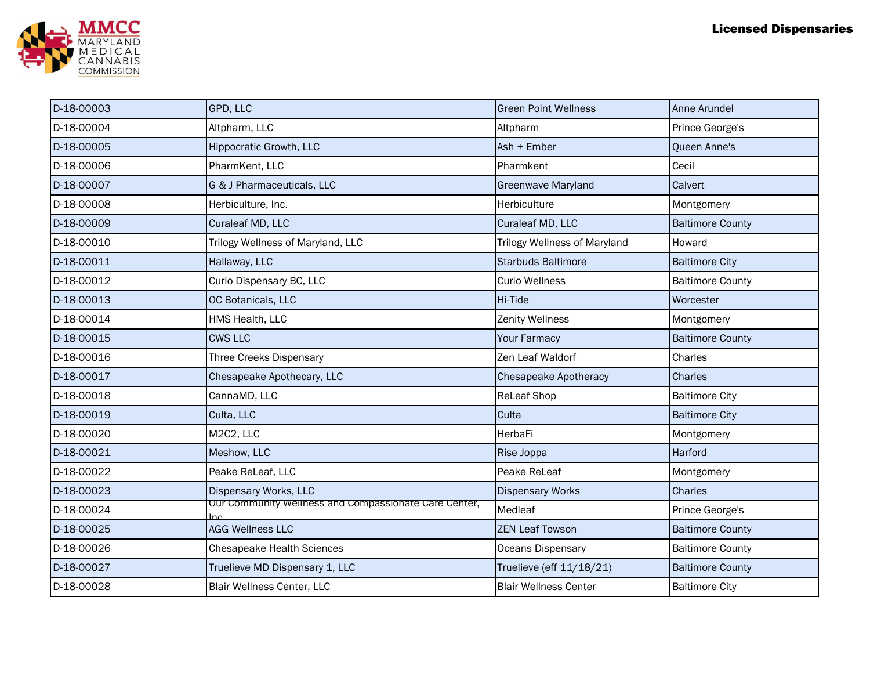

| D-18-00003 | GPD, LLC                                                     | <b>Green Point Wellness</b>         | Anne Arundel            |
|------------|--------------------------------------------------------------|-------------------------------------|-------------------------|
| D-18-00004 | Altpharm, LLC                                                | Altpharm                            | Prince George's         |
| D-18-00005 | <b>Hippocratic Growth, LLC</b>                               | Ash + Ember                         | Queen Anne's            |
| D-18-00006 | PharmKent, LLC                                               | Pharmkent                           | Cecil                   |
| D-18-00007 | G & J Pharmaceuticals, LLC                                   | <b>Greenwave Maryland</b>           | Calvert                 |
| D-18-00008 | Herbiculture, Inc.                                           | Herbiculture                        | Montgomery              |
| D-18-00009 | Curaleaf MD, LLC                                             | Curaleaf MD, LLC                    | <b>Baltimore County</b> |
| D-18-00010 | Trilogy Wellness of Maryland, LLC                            | <b>Trilogy Wellness of Maryland</b> | Howard                  |
| D-18-00011 | Hallaway, LLC                                                | <b>Starbuds Baltimore</b>           | <b>Baltimore City</b>   |
| D-18-00012 | Curio Dispensary BC, LLC                                     | <b>Curio Wellness</b>               | <b>Baltimore County</b> |
| D-18-00013 | OC Botanicals, LLC                                           | Hi-Tide                             | Worcester               |
| D-18-00014 | HMS Health, LLC                                              | Zenity Wellness                     | Montgomery              |
| D-18-00015 | <b>CWS LLC</b>                                               | <b>Your Farmacy</b>                 | <b>Baltimore County</b> |
| D-18-00016 | Three Creeks Dispensary                                      | Zen Leaf Waldorf                    | Charles                 |
| D-18-00017 | Chesapeake Apothecary, LLC                                   | <b>Chesapeake Apotheracy</b>        | <b>Charles</b>          |
| D-18-00018 | CannaMD, LLC                                                 | ReLeaf Shop                         | <b>Baltimore City</b>   |
| D-18-00019 | Culta, LLC                                                   | Culta                               | <b>Baltimore City</b>   |
| D-18-00020 | M2C2, LLC                                                    | HerbaFi                             | Montgomery              |
| D-18-00021 | Meshow, LLC                                                  | Rise Joppa                          | Harford                 |
| D-18-00022 | Peake ReLeaf, LLC                                            | Peake ReLeaf                        | Montgomery              |
| D-18-00023 | Dispensary Works, LLC                                        | <b>Dispensary Works</b>             | Charles                 |
| D-18-00024 | Our Community wellness and Compassionate Care Center,<br>Ino | Medleaf                             | Prince George's         |
| D-18-00025 | <b>AGG Wellness LLC</b>                                      | <b>ZEN Leaf Towson</b>              | <b>Baltimore County</b> |
| D-18-00026 | <b>Chesapeake Health Sciences</b>                            | Oceans Dispensary                   | <b>Baltimore County</b> |
| D-18-00027 | Truelieve MD Dispensary 1, LLC                               | Truelieve (eff 11/18/21)            | <b>Baltimore County</b> |
| D-18-00028 | Blair Wellness Center, LLC                                   | <b>Blair Wellness Center</b>        | <b>Baltimore City</b>   |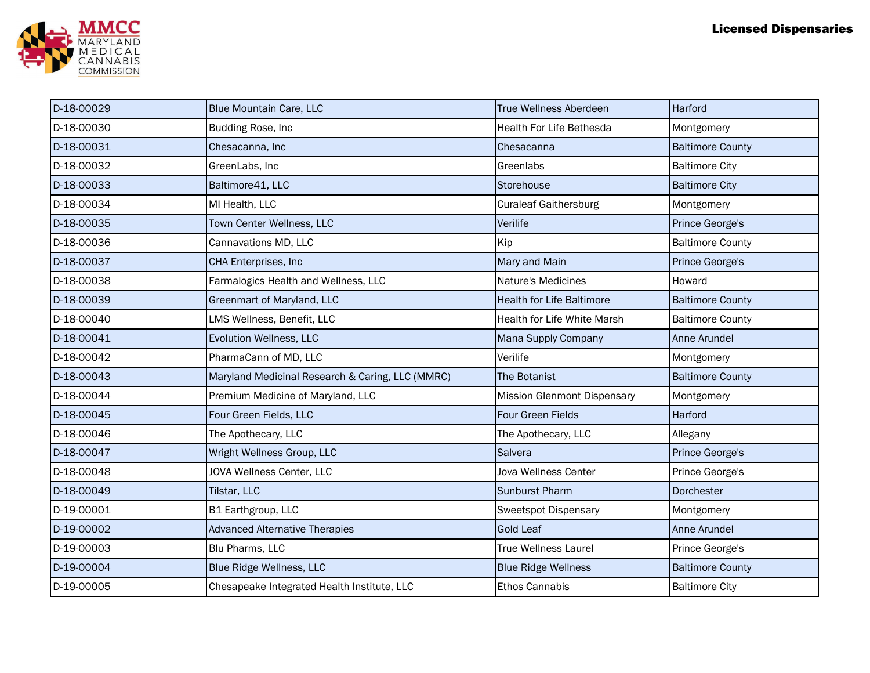

| D-18-00029 | <b>Blue Mountain Care, LLC</b>                   | <b>True Wellness Aberdeen</b>      | Harford                 |
|------------|--------------------------------------------------|------------------------------------|-------------------------|
| D-18-00030 | Budding Rose, Inc                                | <b>Health For Life Bethesda</b>    | Montgomery              |
| D-18-00031 | Chesacanna, Inc                                  | Chesacanna                         | <b>Baltimore County</b> |
| D-18-00032 | GreenLabs, Inc                                   | Greenlabs                          | <b>Baltimore City</b>   |
| D-18-00033 | Baltimore41, LLC                                 | Storehouse                         | <b>Baltimore City</b>   |
| D-18-00034 | MI Health, LLC                                   | <b>Curaleaf Gaithersburg</b>       | Montgomery              |
| D-18-00035 | Town Center Wellness, LLC                        | Verilife                           | Prince George's         |
| D-18-00036 | Cannavations MD, LLC                             | Kip                                | <b>Baltimore County</b> |
| D-18-00037 | CHA Enterprises, Inc                             | Mary and Main                      | Prince George's         |
| D-18-00038 | Farmalogics Health and Wellness, LLC             | Nature's Medicines                 | Howard                  |
| D-18-00039 | Greenmart of Maryland, LLC                       | <b>Health for Life Baltimore</b>   | <b>Baltimore County</b> |
| D-18-00040 | LMS Wellness, Benefit, LLC                       | Health for Life White Marsh        | <b>Baltimore County</b> |
| D-18-00041 | Evolution Wellness, LLC                          | Mana Supply Company                | Anne Arundel            |
| D-18-00042 | PharmaCann of MD, LLC                            | Verilife                           | Montgomery              |
| D-18-00043 | Maryland Medicinal Research & Caring, LLC (MMRC) | The Botanist                       | <b>Baltimore County</b> |
| D-18-00044 | Premium Medicine of Maryland, LLC                | <b>Mission Glenmont Dispensary</b> | Montgomery              |
| D-18-00045 | Four Green Fields, LLC                           | Four Green Fields                  | Harford                 |
| D-18-00046 | The Apothecary, LLC                              | The Apothecary, LLC                | Allegany                |
| D-18-00047 | Wright Wellness Group, LLC                       | Salvera                            | Prince George's         |
| D-18-00048 | JOVA Wellness Center, LLC                        | Jova Wellness Center               | Prince George's         |
| D-18-00049 | Tilstar, LLC                                     | <b>Sunburst Pharm</b>              | Dorchester              |
| D-19-00001 | B1 Earthgroup, LLC                               | <b>Sweetspot Dispensary</b>        | Montgomery              |
| D-19-00002 | <b>Advanced Alternative Therapies</b>            | <b>Gold Leaf</b>                   | Anne Arundel            |
| D-19-00003 | Blu Pharms, LLC                                  | <b>True Wellness Laurel</b>        | Prince George's         |
| D-19-00004 | Blue Ridge Wellness, LLC                         | <b>Blue Ridge Wellness</b>         | <b>Baltimore County</b> |
| D-19-00005 | Chesapeake Integrated Health Institute, LLC      | <b>Ethos Cannabis</b>              | <b>Baltimore City</b>   |
|            |                                                  |                                    |                         |